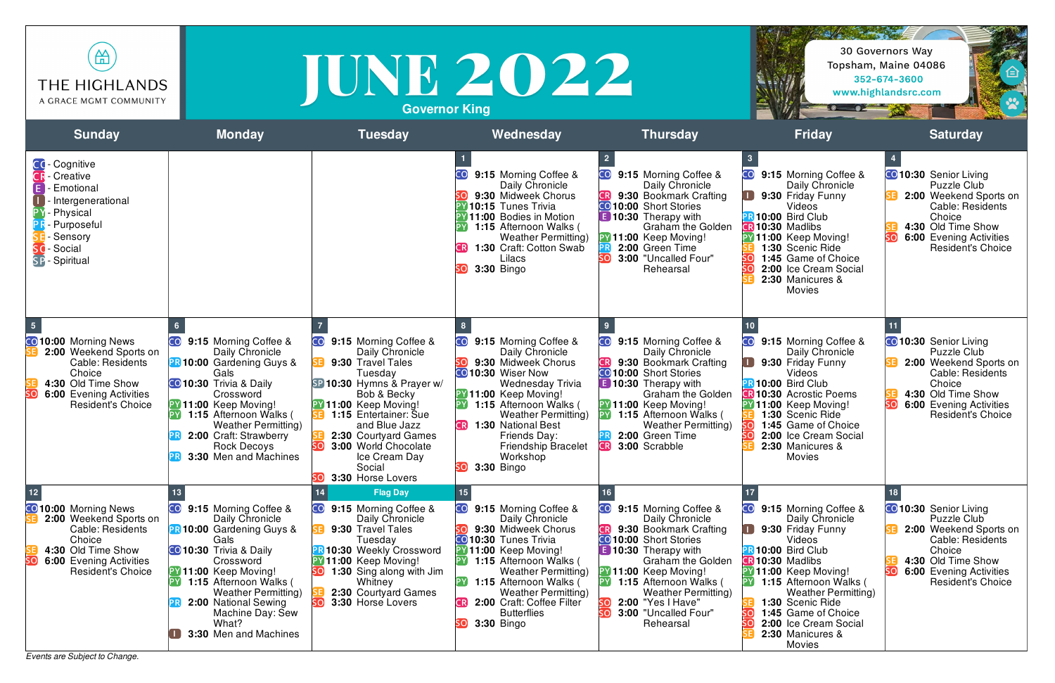## **Governor King**

*Events are Subject to Change.*

| 笽<br><b>THE HIGHLANDS</b><br>A GRACE MGMT COMMUNITY                                                                                                                                  |                                                                                                                                                                                                                                                                                                         | <b>Governor King</b>                                                                                                                                                                                                                                                                                                        | JUNE 2022                                                                                                                                                                                                                                                                                                                                    |                                                                                                                                                                                                                                                                                                                    |                                                                                                                                                                                                                                                                                                                                   | 30 Governors Way<br>Topsham, Maine 04086<br>臼<br>352-674-3600<br>www.highlandsrc.com                                                                                                            |
|--------------------------------------------------------------------------------------------------------------------------------------------------------------------------------------|---------------------------------------------------------------------------------------------------------------------------------------------------------------------------------------------------------------------------------------------------------------------------------------------------------|-----------------------------------------------------------------------------------------------------------------------------------------------------------------------------------------------------------------------------------------------------------------------------------------------------------------------------|----------------------------------------------------------------------------------------------------------------------------------------------------------------------------------------------------------------------------------------------------------------------------------------------------------------------------------------------|--------------------------------------------------------------------------------------------------------------------------------------------------------------------------------------------------------------------------------------------------------------------------------------------------------------------|-----------------------------------------------------------------------------------------------------------------------------------------------------------------------------------------------------------------------------------------------------------------------------------------------------------------------------------|-------------------------------------------------------------------------------------------------------------------------------------------------------------------------------------------------|
| <b>Sunday</b>                                                                                                                                                                        | <b>Monday</b>                                                                                                                                                                                                                                                                                           | <b>Tuesday</b>                                                                                                                                                                                                                                                                                                              | Wednesday                                                                                                                                                                                                                                                                                                                                    | <b>Thursday</b>                                                                                                                                                                                                                                                                                                    | <b>Friday</b>                                                                                                                                                                                                                                                                                                                     | <b>Saturday</b>                                                                                                                                                                                 |
| CC-Cognitive<br><b>CR</b> - Creative<br><b>Emotional</b><br>Intergenerational<br>· Physical<br>- Purposeful<br>Sensory<br>- Social<br><b>SP</b> - Spiritual                          |                                                                                                                                                                                                                                                                                                         |                                                                                                                                                                                                                                                                                                                             | 9:15 Morning Coffee &<br>Daily Chronicle<br>9:30 Midweek Chorus<br><b>PY 10:15 Tunes Trivia</b><br><b>PY 11:00 Bodies in Motion</b><br>1:15 Afternoon Walks (<br><b>Weather Permitting)</b><br>1:30 Craft: Cotton Swab<br>CRI<br>Lilacs<br><b>3:30 Bingo</b>                                                                                 | 9:15 Morning Coffee &<br>CO<br>Daily Chronicle<br>9:30 Bookmark Crafting<br>CO 10:00 Short Stories<br><b>E</b> 10:30 Therapy with<br><b>Graham the Golden</b><br>PY 11:00 Keep Moving!<br>2:00 Green Time<br>3:00 "Uncalled Four"<br>Rehearsal                                                                     | <b>CO</b><br>9:15 Morning Coffee &<br>Daily Chronicle<br>9:30 Friday Funny<br>Videos<br>10:00 Bird Club<br><b>GR 10:30 Madlibs</b><br>PY 11:00 Keep Moving!<br>1:30 Scenic Ride<br>1:45 Game of Choice<br>2:00 Ice Cream Social<br>2:30 Manicures &<br><b>Movies</b>                                                              | CO 10:30 Senior Living<br>Puzzle Club<br>2:00 Weekend Sports on<br>Cable: Residents<br>Choice<br>4:30 Old Time Show<br>6:00 Evening Activities<br><b>Resident's Choice</b>                      |
| <b>CO</b> 10:00 Morning News<br>2:00 Weekend Sports on<br>Cable: Residents<br>Choice<br>4:30 Old Time Show<br>SO<br>6:00 Evening Activities<br><b>Resident's Choice</b><br><b>DV</b> | 9:15 Morning Coffee &<br>Daily Chronicle<br><b>PR 10:00 Gardening Guys &amp;</b><br>Gals<br><b>CO</b> 10:30 Trivia & Daily<br>Crossword<br>PY 11:00 Keep Moving!<br>1:15 Afternoon Walks (<br><b>Weather Permitting)</b><br>2:00 Craft: Strawberry<br><b>Rock Decoys</b><br>3:30 Men and Machines       | CO <sub>.</sub><br>9:15 Morning Coffee &<br>Daily Chronicle<br>9:30 Travel Tales<br>Tuesday<br>SP 10:30 Hymns & Prayer w/<br>Bob & Becky<br><b>PY 11:00 Keep Moving!</b><br><b>B</b> 1:15 Entertainer: Sue<br>and Blue Jazz<br>2:30 Courtyard Games<br>3:00 World Chocolate<br>Ice Cream Day<br>Social<br>3:30 Horse Lovers | CO <mark>l</mark><br>9:15 Morning Coffee &<br>Daily Chronicle<br>9:30 Midweek Chorus<br>CO 10:30 Wiser Now<br>Wednesday Trivia<br>PY 11:00 Keep Moving!<br><b>PY</b> 1:15 Afternoon Walks (<br><b>Weather Permitting)</b><br>CR]<br><b>1:30 National Best</b><br>Friends Day:<br><b>Friendship Bracelet</b><br>Workshop<br>$3:30$ Bingo      | CO I<br>9:15 Morning Coffee &<br>Daily Chronicle<br>9:30 Bookmark Crafting<br><b>CO 10:00</b> Short Stories<br><b>E</b> 10:30 Therapy with<br><b>Graham the Golden</b><br>PY 11:00 Keep Moving!<br><b>PY</b> 1:15 Afternoon Walks (<br><b>Weather Permitting)</b><br>2:00 Green Time<br>3:00 Scrabble<br><b>CR</b> | CO <sub>.</sub><br>9:15 Morning Coffee &<br>Daily Chronicle<br>9:30 Friday Funny<br>Videos<br><b>R10:00 Bird Club</b><br><b>R 10:30 Acrostic Poems</b><br><b>PY 11:00 Keep Moving!</b><br>1:30 Scenic Ride<br>1:45 Game of Choice<br>2:00 Ice Cream Social<br>2:30 Manicures &<br><b>Movies</b>                                   | <b>CO</b> 10:30 Senior Living<br>Puzzle Club<br>2:00 Weekend Sports on<br>Cable: Residents<br>Choice<br>4:30 Old Time Show<br>6:00 Evening Activities<br>ເດ<br><b>Resident's Choice</b>         |
| 12<br><b>CO</b> 10:00 Morning News<br>2:00 Weekend Sports on<br>Cable: Residents<br>Choice<br>4:30 Old Time Show<br>SO<br><b>6:00 Evening Activities</b><br><b>Resident's Choice</b> | 9:15 Morning Coffee &<br>Daily Chronicle<br><b>PR 10:00 Gardening Guys &amp;</b><br>Gals<br><b>CO</b> 10:30 Trivia & Daily<br>Crossword<br>PY 11:00 Keep Moving!<br>1:15 Afternoon Walks (<br><b>Weather Permitting</b> )<br>2:00 National Sewing<br>Machine Day: Sew<br>What?<br>3:30 Men and Machines | <b>Flag Day</b><br>9:15 Morning Coffee &<br>Daily Chronicle<br>9:30 Travel Tales<br>Tuesday<br>10:30 Weekly Crossword<br><b>PY 11:00 Keep Moving!</b><br><b>1:30</b> Sing along with Jim<br>Whitney<br>2:30 Courtyard Games<br>3:30 Horse Lovers                                                                            | CO I<br>9:15 Morning Coffee &<br>Daily Chronicle<br>9:30 Midweek Chorus<br><b>CO</b> 10:30 Tunes Trivia<br><b>PY 11:00 Keep Moving!</b><br><b>PY</b> 1:15 Afternoon Walks (<br><b>Weather Permitting)</b><br>PY 1:15 Afternoon Walks (<br><b>Weather Permitting)</b><br>2:00 Craft: Coffee Filter<br><b>Butterflies</b><br><b>3:30 Bingo</b> | 9:15 Morning Coffee &<br>Daily Chronicle<br>9:30 Bookmark Crafting<br>CO 10:00 Short Stories<br><b>310:30</b> Therapy with<br><b>Graham the Golden</b><br>PY 11:00 Keep Moving!<br>PY 1:15 Afternoon Walks (<br><b>Weather Permitting</b> )<br><b>2:00 "Yes I Have"</b><br>3:00 "Uncalled Four"<br>Rehearsal       | 9:15 Morning Coffee &<br>Daily Chronicle<br>9:30 Friday Funny<br>Videos<br><b>R10:00 Bird Club</b><br><b>CR 10:30 Madlibs</b><br><b>PY 11:00 Keep Moving!</b><br><b>PY</b> 1:15 Afternoon Walks (<br><b>Weather Permitting)</b><br>1:30 Scenic Ride<br>1:45 Game of Choice<br>2:00 Ice Cream Social<br>2:30 Manicures &<br>Movies | <b>CO 10:30</b> Senior Living<br>Puzzle Club<br>2:00 Weekend Sports on<br>Cable: Residents<br>Choice<br>4:30 Old Time Show<br>soi<br><b>6:00 Evening Activities</b><br><b>Resident's Choice</b> |